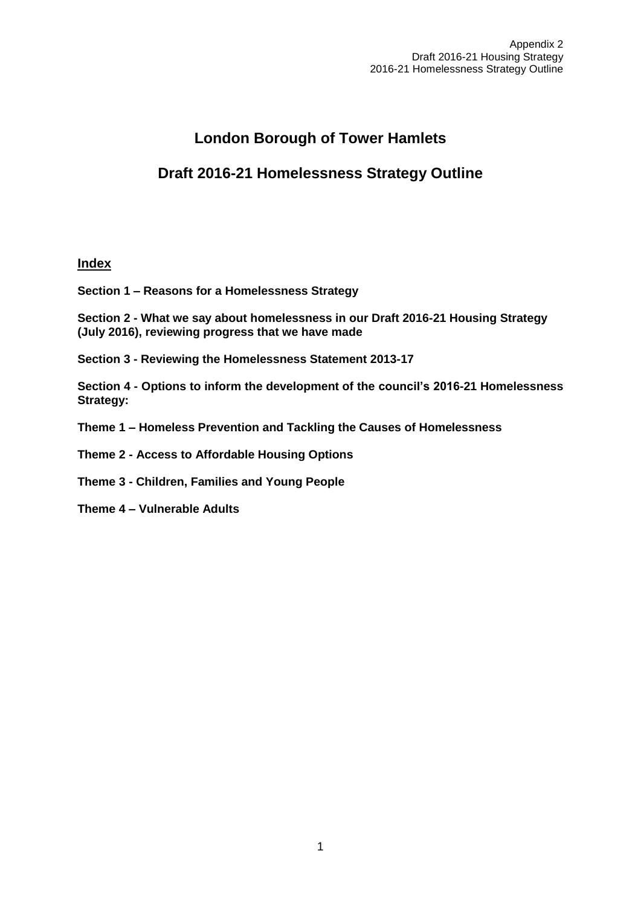# **London Borough of Tower Hamlets**

# **Draft 2016-21 Homelessness Strategy Outline**

# **Index**

**Section 1 – Reasons for a Homelessness Strategy** 

**Section 2 - What we say about homelessness in our Draft 2016-21 Housing Strategy (July 2016), reviewing progress that we have made**

**Section 3 - Reviewing the Homelessness Statement 2013-17**

**Section 4 - Options to inform the development of the council's 2016-21 Homelessness Strategy:** 

- **Theme 1 – Homeless Prevention and Tackling the Causes of Homelessness**
- **Theme 2 - Access to Affordable Housing Options**
- **Theme 3 - Children, Families and Young People**
- **Theme 4 – Vulnerable Adults**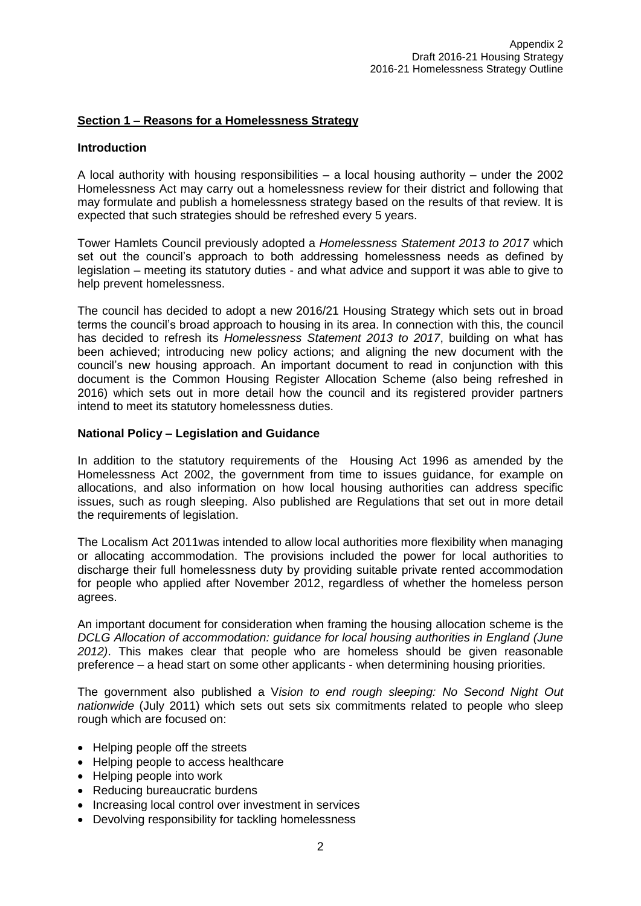# **Section 1 – Reasons for a Homelessness Strategy**

#### **Introduction**

A local authority with housing responsibilities – a local housing authority – under the 2002 Homelessness Act may carry out a homelessness review for their district and following that may formulate and publish a homelessness strategy based on the results of that review. It is expected that such strategies should be refreshed every 5 years.

Tower Hamlets Council previously adopted a *Homelessness Statement 2013 to 2017* which set out the council's approach to both addressing homelessness needs as defined by legislation – meeting its statutory duties - and what advice and support it was able to give to help prevent homelessness.

The council has decided to adopt a new 2016/21 Housing Strategy which sets out in broad terms the council's broad approach to housing in its area. In connection with this, the council has decided to refresh its *Homelessness Statement 2013 to 2017*, building on what has been achieved; introducing new policy actions; and aligning the new document with the council's new housing approach. An important document to read in conjunction with this document is the Common Housing Register Allocation Scheme (also being refreshed in 2016) which sets out in more detail how the council and its registered provider partners intend to meet its statutory homelessness duties.

## **National Policy – Legislation and Guidance**

In addition to the statutory requirements of the Housing Act 1996 as amended by the Homelessness Act 2002, the government from time to issues guidance, for example on allocations, and also information on how local housing authorities can address specific issues, such as rough sleeping. Also published are Regulations that set out in more detail the requirements of legislation.

The Localism Act 2011was intended to allow local authorities more flexibility when managing or allocating accommodation. The provisions included the power for local authorities to discharge their full homelessness duty by providing suitable private rented accommodation for people who applied after November 2012, regardless of whether the homeless person agrees.

An important document for consideration when framing the housing allocation scheme is the *DCLG Allocation of accommodation: guidance for local housing authorities in England (June 2012)*. This makes clear that people who are homeless should be given reasonable preference – a head start on some other applicants - when determining housing priorities.

The government also published a V*ision to end rough sleeping: No Second Night Out nationwide* (July 2011) which sets out sets six commitments related to people who sleep rough which are focused on:

- Helping people off the streets
- Helping people to access healthcare
- Helping people into work
- Reducing bureaucratic burdens
- Increasing local control over investment in services
- Devolving responsibility for tackling homelessness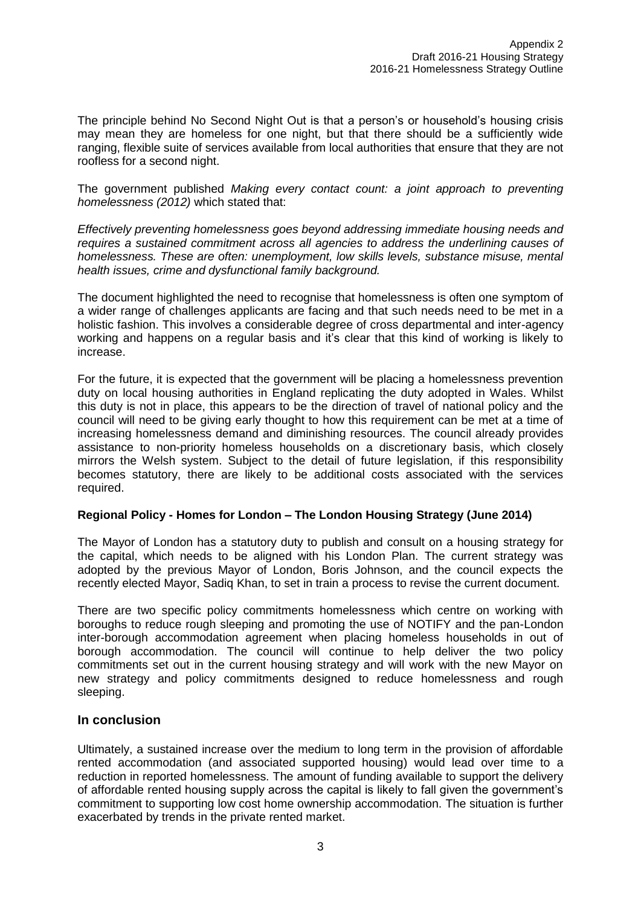The principle behind No Second Night Out is that a person's or household's housing crisis may mean they are homeless for one night, but that there should be a sufficiently wide ranging, flexible suite of services available from local authorities that ensure that they are not roofless for a second night.

The government published *Making every contact count: a joint approach to preventing homelessness (2012)* which stated that:

*Effectively preventing homelessness goes beyond addressing immediate housing needs and requires a sustained commitment across all agencies to address the underlining causes of homelessness. These are often: unemployment, low skills levels, substance misuse, mental health issues, crime and dysfunctional family background.*

The document highlighted the need to recognise that homelessness is often one symptom of a wider range of challenges applicants are facing and that such needs need to be met in a holistic fashion. This involves a considerable degree of cross departmental and inter-agency working and happens on a regular basis and it's clear that this kind of working is likely to increase.

For the future, it is expected that the government will be placing a homelessness prevention duty on local housing authorities in England replicating the duty adopted in Wales. Whilst this duty is not in place, this appears to be the direction of travel of national policy and the council will need to be giving early thought to how this requirement can be met at a time of increasing homelessness demand and diminishing resources. The council already provides assistance to non-priority homeless households on a discretionary basis, which closely mirrors the Welsh system. Subject to the detail of future legislation, if this responsibility becomes statutory, there are likely to be additional costs associated with the services required.

# **Regional Policy - Homes for London – The London Housing Strategy (June 2014)**

The Mayor of London has a statutory duty to publish and consult on a housing strategy for the capital, which needs to be aligned with his London Plan. The current strategy was adopted by the previous Mayor of London, Boris Johnson, and the council expects the recently elected Mayor, Sadiq Khan, to set in train a process to revise the current document.

There are two specific policy commitments homelessness which centre on working with boroughs to reduce rough sleeping and promoting the use of NOTIFY and the pan-London inter-borough accommodation agreement when placing homeless households in out of borough accommodation. The council will continue to help deliver the two policy commitments set out in the current housing strategy and will work with the new Mayor on new strategy and policy commitments designed to reduce homelessness and rough sleeping.

# **In conclusion**

Ultimately, a sustained increase over the medium to long term in the provision of affordable rented accommodation (and associated supported housing) would lead over time to a reduction in reported homelessness. The amount of funding available to support the delivery of affordable rented housing supply across the capital is likely to fall given the government's commitment to supporting low cost home ownership accommodation. The situation is further exacerbated by trends in the private rented market.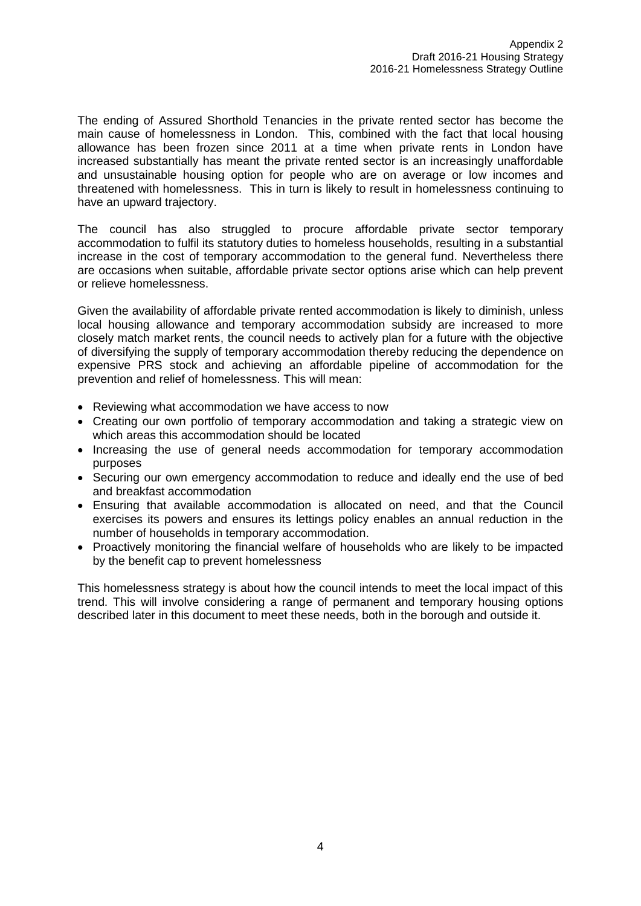The ending of Assured Shorthold Tenancies in the private rented sector has become the main cause of homelessness in London. This, combined with the fact that local housing allowance has been frozen since 2011 at a time when private rents in London have increased substantially has meant the private rented sector is an increasingly unaffordable and unsustainable housing option for people who are on average or low incomes and threatened with homelessness. This in turn is likely to result in homelessness continuing to have an upward trajectory.

The council has also struggled to procure affordable private sector temporary accommodation to fulfil its statutory duties to homeless households, resulting in a substantial increase in the cost of temporary accommodation to the general fund. Nevertheless there are occasions when suitable, affordable private sector options arise which can help prevent or relieve homelessness.

Given the availability of affordable private rented accommodation is likely to diminish, unless local housing allowance and temporary accommodation subsidy are increased to more closely match market rents, the council needs to actively plan for a future with the objective of diversifying the supply of temporary accommodation thereby reducing the dependence on expensive PRS stock and achieving an affordable pipeline of accommodation for the prevention and relief of homelessness. This will mean:

- Reviewing what accommodation we have access to now
- Creating our own portfolio of temporary accommodation and taking a strategic view on which areas this accommodation should be located
- Increasing the use of general needs accommodation for temporary accommodation purposes
- Securing our own emergency accommodation to reduce and ideally end the use of bed and breakfast accommodation
- Ensuring that available accommodation is allocated on need, and that the Council exercises its powers and ensures its lettings policy enables an annual reduction in the number of households in temporary accommodation.
- Proactively monitoring the financial welfare of households who are likely to be impacted by the benefit cap to prevent homelessness

This homelessness strategy is about how the council intends to meet the local impact of this trend. This will involve considering a range of permanent and temporary housing options described later in this document to meet these needs, both in the borough and outside it.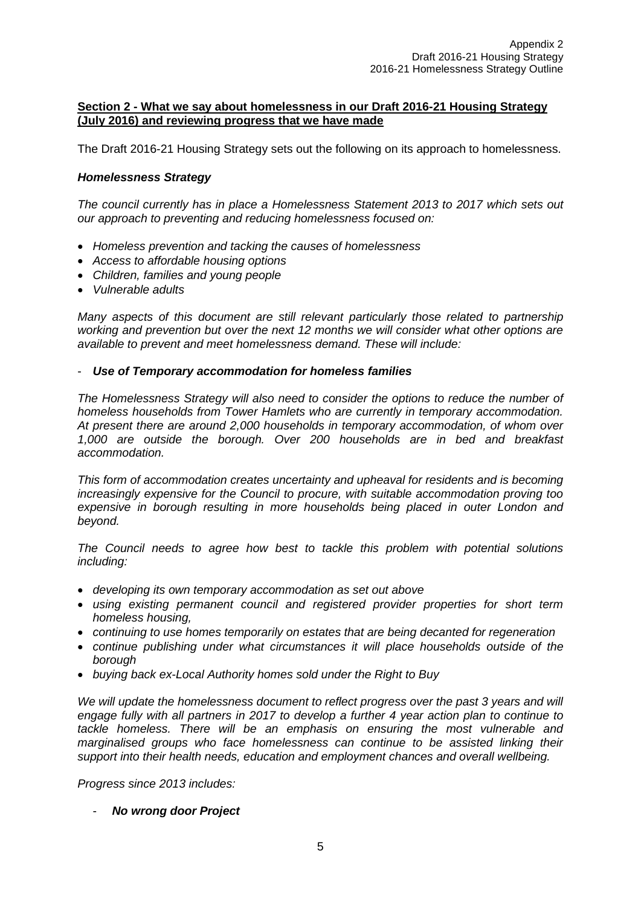## **Section 2 - What we say about homelessness in our Draft 2016-21 Housing Strategy (July 2016) and reviewing progress that we have made**

The Draft 2016-21 Housing Strategy sets out the following on its approach to homelessness.

# *Homelessness Strategy*

*The council currently has in place a Homelessness Statement 2013 to 2017 which sets out our approach to preventing and reducing homelessness focused on:* 

- *Homeless prevention and tacking the causes of homelessness*
- *Access to affordable housing options*
- *Children, families and young people*
- *Vulnerable adults*

*Many aspects of this document are still relevant particularly those related to partnership working and prevention but over the next 12 months we will consider what other options are available to prevent and meet homelessness demand. These will include:* 

# - *Use of Temporary accommodation for homeless families*

*The Homelessness Strategy will also need to consider the options to reduce the number of homeless households from Tower Hamlets who are currently in temporary accommodation. At present there are around 2,000 households in temporary accommodation, of whom over 1,000 are outside the borough. Over 200 households are in bed and breakfast accommodation.*

*This form of accommodation creates uncertainty and upheaval for residents and is becoming increasingly expensive for the Council to procure, with suitable accommodation proving too expensive in borough resulting in more households being placed in outer London and beyond.*

*The Council needs to agree how best to tackle this problem with potential solutions including:*

- *developing its own temporary accommodation as set out above*
- *using existing permanent council and registered provider properties for short term homeless housing,*
- *continuing to use homes temporarily on estates that are being decanted for regeneration*
- *continue publishing under what circumstances it will place households outside of the borough*
- *buying back ex-Local Authority homes sold under the Right to Buy*

We will update the homelessness document to reflect progress over the past 3 years and will *engage fully with all partners in 2017 to develop a further 4 year action plan to continue to tackle homeless. There will be an emphasis on ensuring the most vulnerable and marginalised groups who face homelessness can continue to be assisted linking their support into their health needs, education and employment chances and overall wellbeing.*

*Progress since 2013 includes:*

- *No wrong door Project*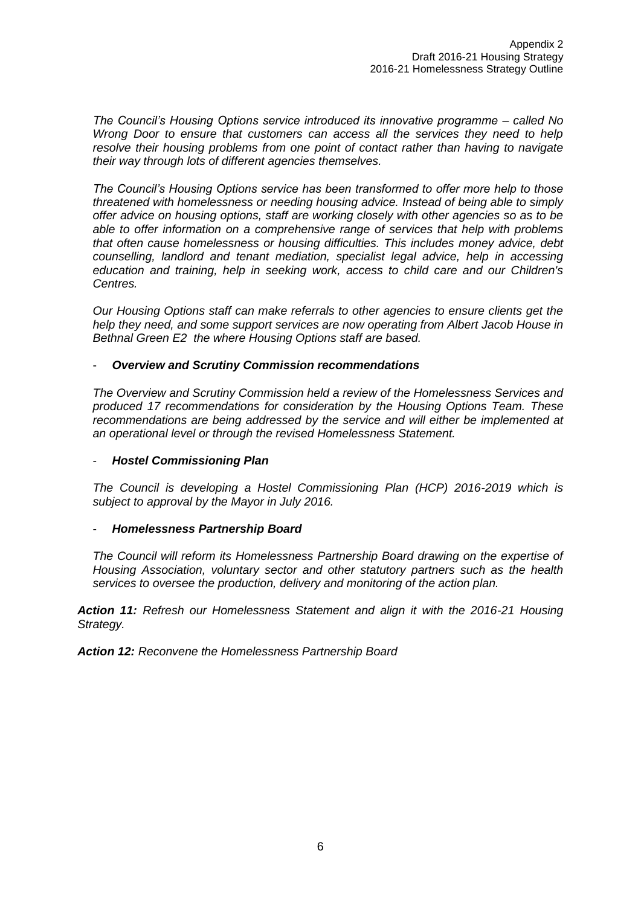*The Council's Housing Options service introduced its innovative programme – called No Wrong Door to ensure that customers can access all the services they need to help resolve their housing problems from one point of contact rather than having to navigate their way through lots of different agencies themselves.* 

*The Council's Housing Options service has been transformed to offer more help to those threatened with homelessness or needing housing advice. Instead of being able to simply offer advice on housing options, staff are working closely with other agencies so as to be able to offer information on a comprehensive range of services that help with problems that often cause homelessness or housing difficulties. This includes money advice, debt counselling, landlord and tenant mediation, specialist legal advice, help in accessing education and training, help in seeking work, access to child care and our Children's Centres.* 

*Our Housing Options staff can make referrals to other agencies to ensure clients get the help they need, and some support services are now operating from Albert Jacob House in Bethnal Green E2 the where Housing Options staff are based.* 

## - *Overview and Scrutiny Commission recommendations*

*The Overview and Scrutiny Commission held a review of the Homelessness Services and produced 17 recommendations for consideration by the Housing Options Team. These recommendations are being addressed by the service and will either be implemented at an operational level or through the revised Homelessness Statement.* 

#### - *Hostel Commissioning Plan*

*The Council is developing a Hostel Commissioning Plan (HCP) 2016-2019 which is subject to approval by the Mayor in July 2016.*

#### - *Homelessness Partnership Board*

*The Council will reform its Homelessness Partnership Board drawing on the expertise of Housing Association, voluntary sector and other statutory partners such as the health services to oversee the production, delivery and monitoring of the action plan.*

*Action 11: Refresh our Homelessness Statement and align it with the 2016-21 Housing Strategy.* 

*Action 12: Reconvene the Homelessness Partnership Board*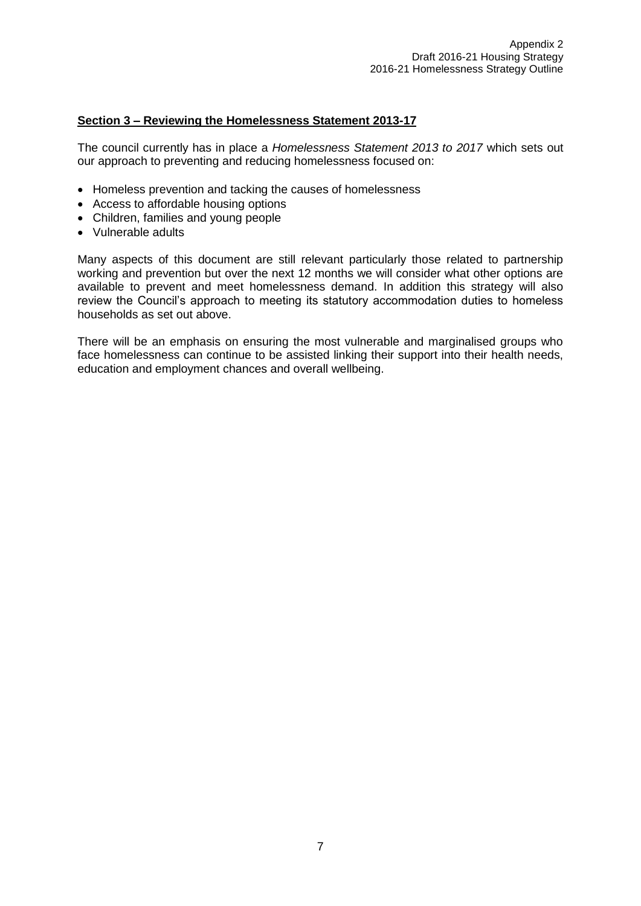# **Section 3 – Reviewing the Homelessness Statement 2013-17**

The council currently has in place a *Homelessness Statement 2013 to 2017* which sets out our approach to preventing and reducing homelessness focused on:

- Homeless prevention and tacking the causes of homelessness
- Access to affordable housing options
- Children, families and young people
- Vulnerable adults

Many aspects of this document are still relevant particularly those related to partnership working and prevention but over the next 12 months we will consider what other options are available to prevent and meet homelessness demand. In addition this strategy will also review the Council's approach to meeting its statutory accommodation duties to homeless households as set out above.

There will be an emphasis on ensuring the most vulnerable and marginalised groups who face homelessness can continue to be assisted linking their support into their health needs, education and employment chances and overall wellbeing.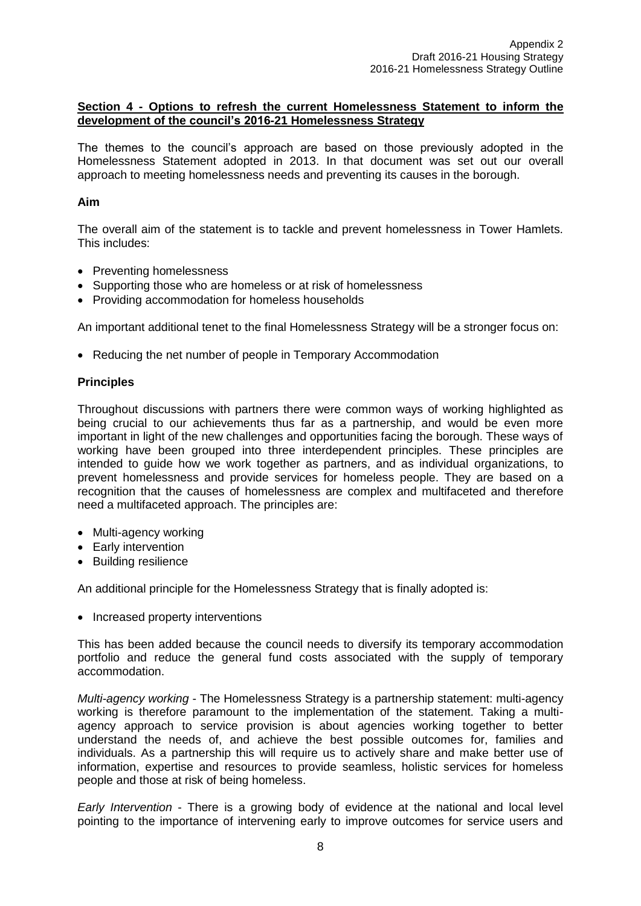## **Section 4 - Options to refresh the current Homelessness Statement to inform the development of the council's 2016-21 Homelessness Strategy**

The themes to the council's approach are based on those previously adopted in the Homelessness Statement adopted in 2013. In that document was set out our overall approach to meeting homelessness needs and preventing its causes in the borough.

## **Aim**

The overall aim of the statement is to tackle and prevent homelessness in Tower Hamlets. This includes:

- Preventing homelessness
- Supporting those who are homeless or at risk of homelessness
- Providing accommodation for homeless households

An important additional tenet to the final Homelessness Strategy will be a stronger focus on:

• Reducing the net number of people in Temporary Accommodation

## **Principles**

Throughout discussions with partners there were common ways of working highlighted as being crucial to our achievements thus far as a partnership, and would be even more important in light of the new challenges and opportunities facing the borough. These ways of working have been grouped into three interdependent principles. These principles are intended to guide how we work together as partners, and as individual organizations, to prevent homelessness and provide services for homeless people. They are based on a recognition that the causes of homelessness are complex and multifaceted and therefore need a multifaceted approach. The principles are:

- Multi-agency working
- Early intervention
- Building resilience

An additional principle for the Homelessness Strategy that is finally adopted is:

• Increased property interventions

This has been added because the council needs to diversify its temporary accommodation portfolio and reduce the general fund costs associated with the supply of temporary accommodation.

*Multi-agency working* - The Homelessness Strategy is a partnership statement: multi-agency working is therefore paramount to the implementation of the statement. Taking a multiagency approach to service provision is about agencies working together to better understand the needs of, and achieve the best possible outcomes for, families and individuals. As a partnership this will require us to actively share and make better use of information, expertise and resources to provide seamless, holistic services for homeless people and those at risk of being homeless.

*Early Intervention* - There is a growing body of evidence at the national and local level pointing to the importance of intervening early to improve outcomes for service users and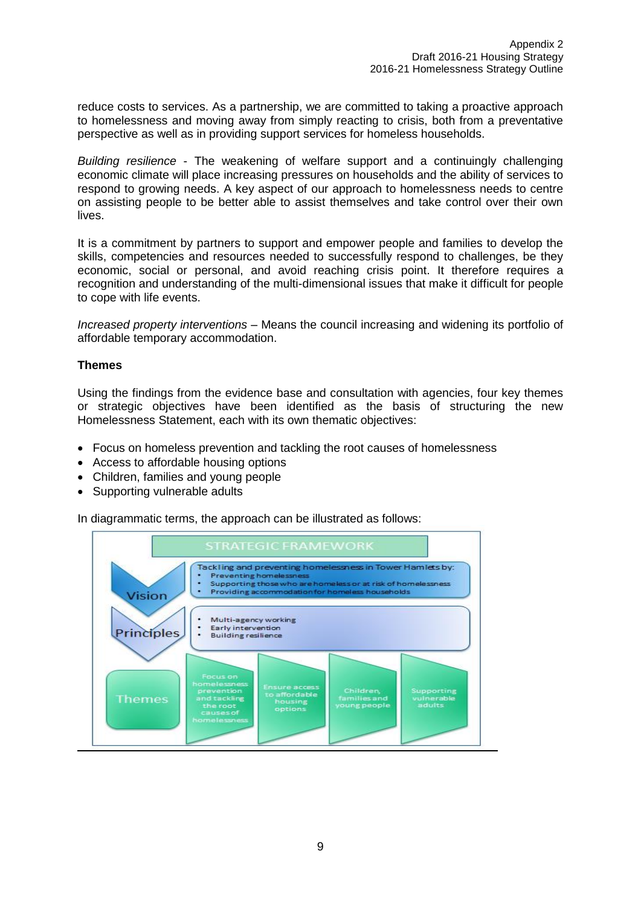reduce costs to services. As a partnership, we are committed to taking a proactive approach to homelessness and moving away from simply reacting to crisis, both from a preventative perspective as well as in providing support services for homeless households.

*Building resilience* - The weakening of welfare support and a continuingly challenging economic climate will place increasing pressures on households and the ability of services to respond to growing needs. A key aspect of our approach to homelessness needs to centre on assisting people to be better able to assist themselves and take control over their own lives.

It is a commitment by partners to support and empower people and families to develop the skills, competencies and resources needed to successfully respond to challenges, be they economic, social or personal, and avoid reaching crisis point. It therefore requires a recognition and understanding of the multi-dimensional issues that make it difficult for people to cope with life events.

*Increased property interventions* – Means the council increasing and widening its portfolio of affordable temporary accommodation.

## **Themes**

Using the findings from the evidence base and consultation with agencies, four key themes or strategic objectives have been identified as the basis of structuring the new Homelessness Statement, each with its own thematic objectives:

- Focus on homeless prevention and tackling the root causes of homelessness
- Access to affordable housing options
- Children, families and young people
- Supporting vulnerable adults

In diagrammatic terms, the approach can be illustrated as follows:

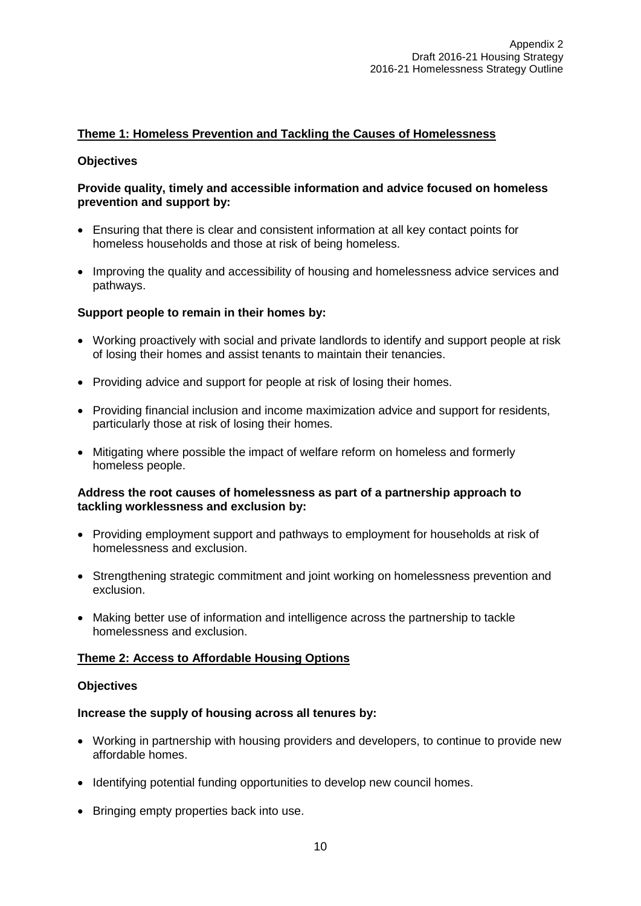# **Theme 1: Homeless Prevention and Tackling the Causes of Homelessness**

## **Objectives**

## **Provide quality, timely and accessible information and advice focused on homeless prevention and support by:**

- Ensuring that there is clear and consistent information at all key contact points for homeless households and those at risk of being homeless.
- Improving the quality and accessibility of housing and homelessness advice services and pathways.

## **Support people to remain in their homes by:**

- Working proactively with social and private landlords to identify and support people at risk of losing their homes and assist tenants to maintain their tenancies.
- Providing advice and support for people at risk of losing their homes.
- Providing financial inclusion and income maximization advice and support for residents, particularly those at risk of losing their homes.
- Mitigating where possible the impact of welfare reform on homeless and formerly homeless people.

## **Address the root causes of homelessness as part of a partnership approach to tackling worklessness and exclusion by:**

- Providing employment support and pathways to employment for households at risk of homelessness and exclusion.
- Strengthening strategic commitment and joint working on homelessness prevention and exclusion.
- Making better use of information and intelligence across the partnership to tackle homelessness and exclusion.

#### **Theme 2: Access to Affordable Housing Options**

#### **Objectives**

#### **Increase the supply of housing across all tenures by:**

- Working in partnership with housing providers and developers, to continue to provide new affordable homes.
- Identifying potential funding opportunities to develop new council homes.
- Bringing empty properties back into use.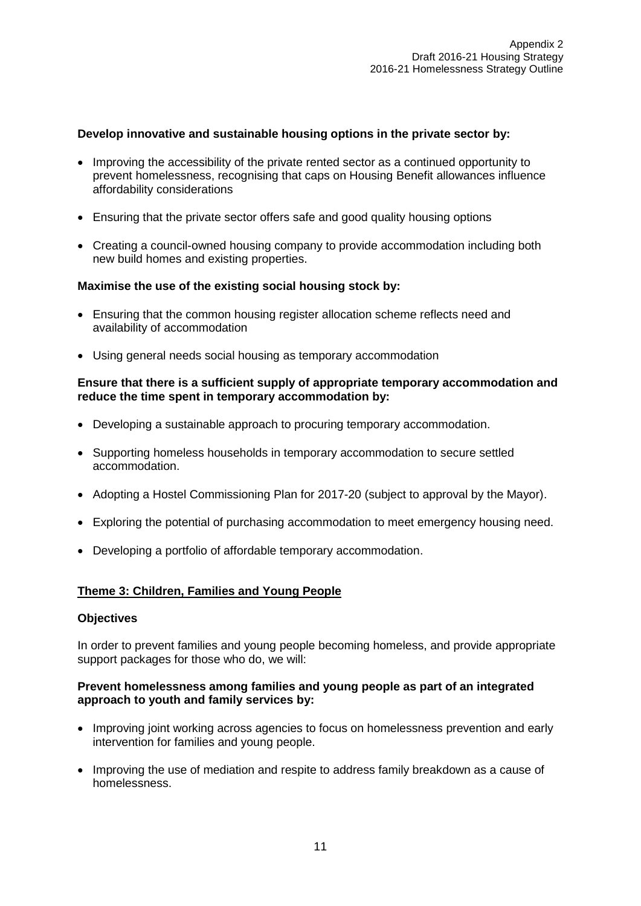# **Develop innovative and sustainable housing options in the private sector by:**

- Improving the accessibility of the private rented sector as a continued opportunity to prevent homelessness, recognising that caps on Housing Benefit allowances influence affordability considerations
- Ensuring that the private sector offers safe and good quality housing options
- Creating a council-owned housing company to provide accommodation including both new build homes and existing properties.

#### **Maximise the use of the existing social housing stock by:**

- Ensuring that the common housing register allocation scheme reflects need and availability of accommodation
- Using general needs social housing as temporary accommodation

## **Ensure that there is a sufficient supply of appropriate temporary accommodation and reduce the time spent in temporary accommodation by:**

- Developing a sustainable approach to procuring temporary accommodation.
- Supporting homeless households in temporary accommodation to secure settled accommodation.
- Adopting a Hostel Commissioning Plan for 2017-20 (subject to approval by the Mayor).
- Exploring the potential of purchasing accommodation to meet emergency housing need.
- Developing a portfolio of affordable temporary accommodation.

#### **Theme 3: Children, Families and Young People**

#### **Objectives**

In order to prevent families and young people becoming homeless, and provide appropriate support packages for those who do, we will:

## **Prevent homelessness among families and young people as part of an integrated approach to youth and family services by:**

- Improving joint working across agencies to focus on homelessness prevention and early intervention for families and young people.
- Improving the use of mediation and respite to address family breakdown as a cause of homelessness.